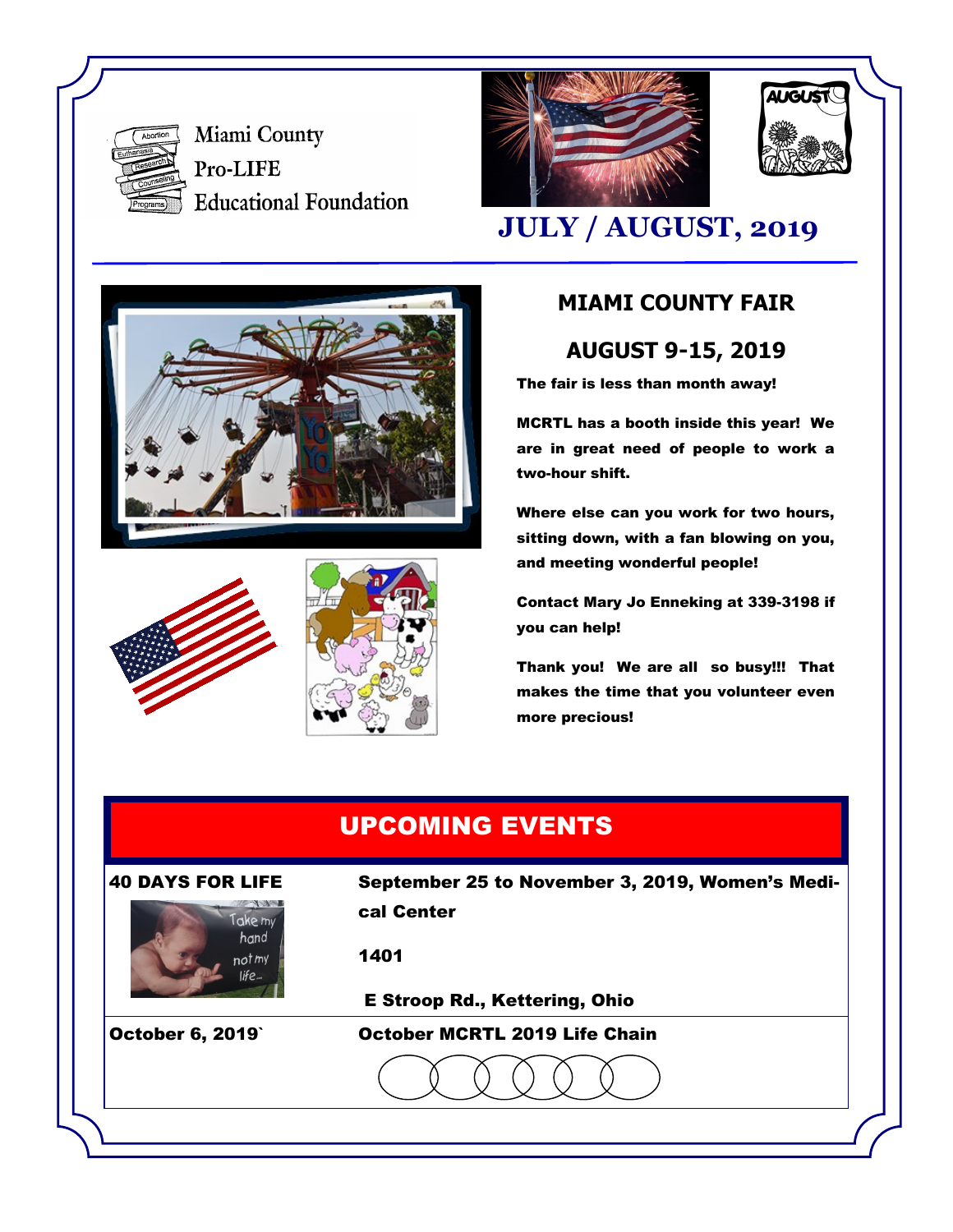

Miami County Pro-LIFE **Educational Foundation** 





## **JULY / AUGUST, 2019**







### **MIAMI COUNTY FAIR**

**AUGUST 9-15, 2019**

The fair is less than month away!

MCRTL has a booth inside this year! We are in great need of people to work a two-hour shift.

Where else can you work for two hours, sitting down, with a fan blowing on you, and meeting wonderful people!

Contact Mary Jo Enneking at 339-3198 if you can help!

Thank you! We are all so busy!!! That makes the time that you volunteer even more precious!

## UPCOMING EVENTS





40 DAYS FOR LIFE September 25 to November 3, 2019, Women's Medical Center

1401

E Stroop Rd., Kettering, Ohio

October 6, 2019` October MCRTL 2019 Life Chain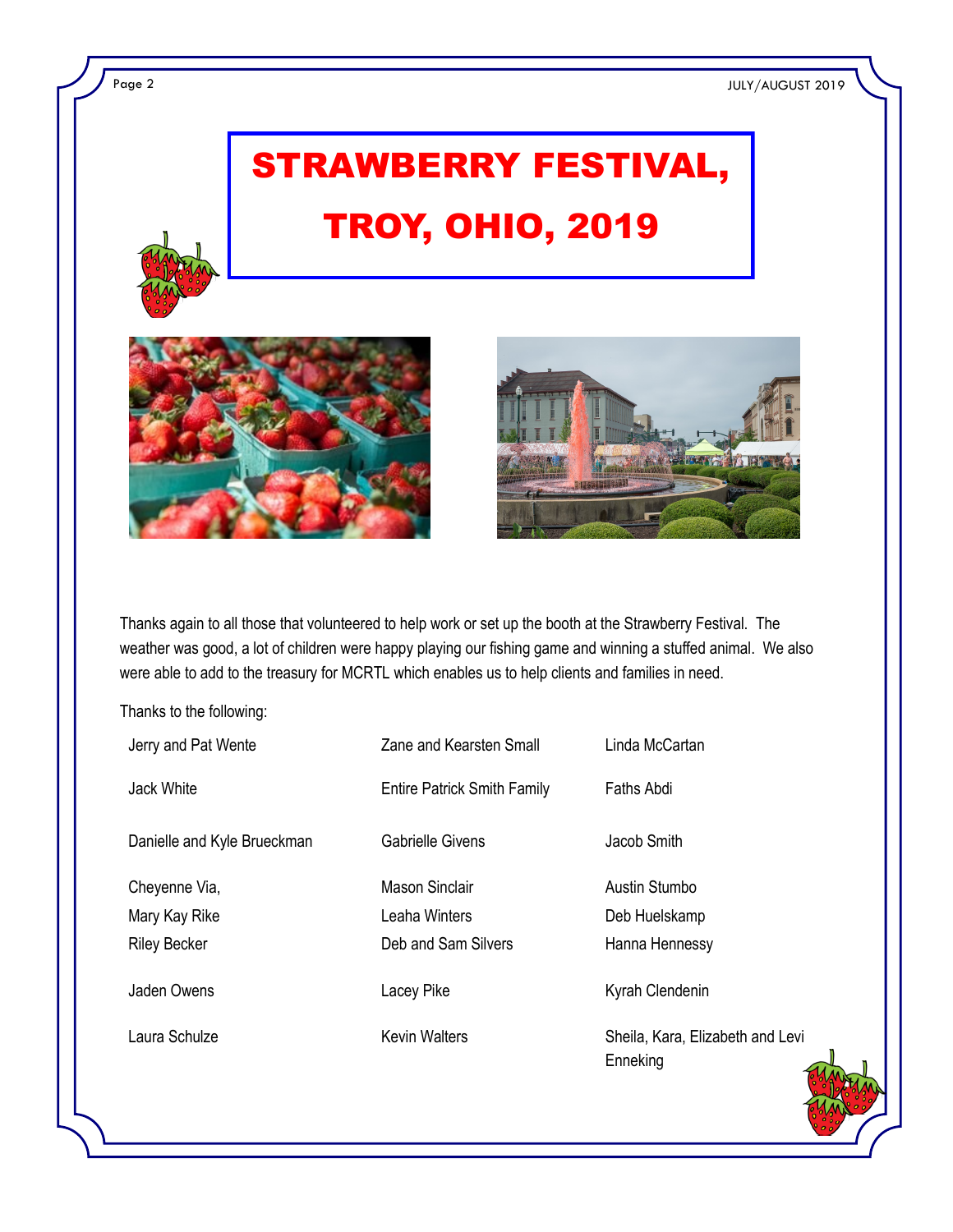Page 2 JULY/AUGUST 2019

# STRAWBERRY FESTIVAL, TROY, OHIO, 2019



Thanks again to all those that volunteered to help work or set up the booth at the Strawberry Festival. The weather was good, a lot of children were happy playing our fishing game and winning a stuffed animal. We also were able to add to the treasury for MCRTL which enables us to help clients and families in need.

Thanks to the following:

| Jerry and Pat Wente         | Zane and Kearsten Small            | Linda McCartan                               |
|-----------------------------|------------------------------------|----------------------------------------------|
| Jack White                  | <b>Entire Patrick Smith Family</b> | Faths Abdi                                   |
| Danielle and Kyle Brueckman | <b>Gabrielle Givens</b>            | Jacob Smith                                  |
| Cheyenne Via,               | <b>Mason Sinclair</b>              | Austin Stumbo                                |
| Mary Kay Rike               | Leaha Winters                      | Deb Huelskamp                                |
| <b>Riley Becker</b>         | Deb and Sam Silvers                | Hanna Hennessy                               |
| Jaden Owens                 | Lacey Pike                         | Kyrah Clendenin                              |
| Laura Schulze               | <b>Kevin Walters</b>               | Sheila, Kara, Elizabeth and Levi<br>Enneking |